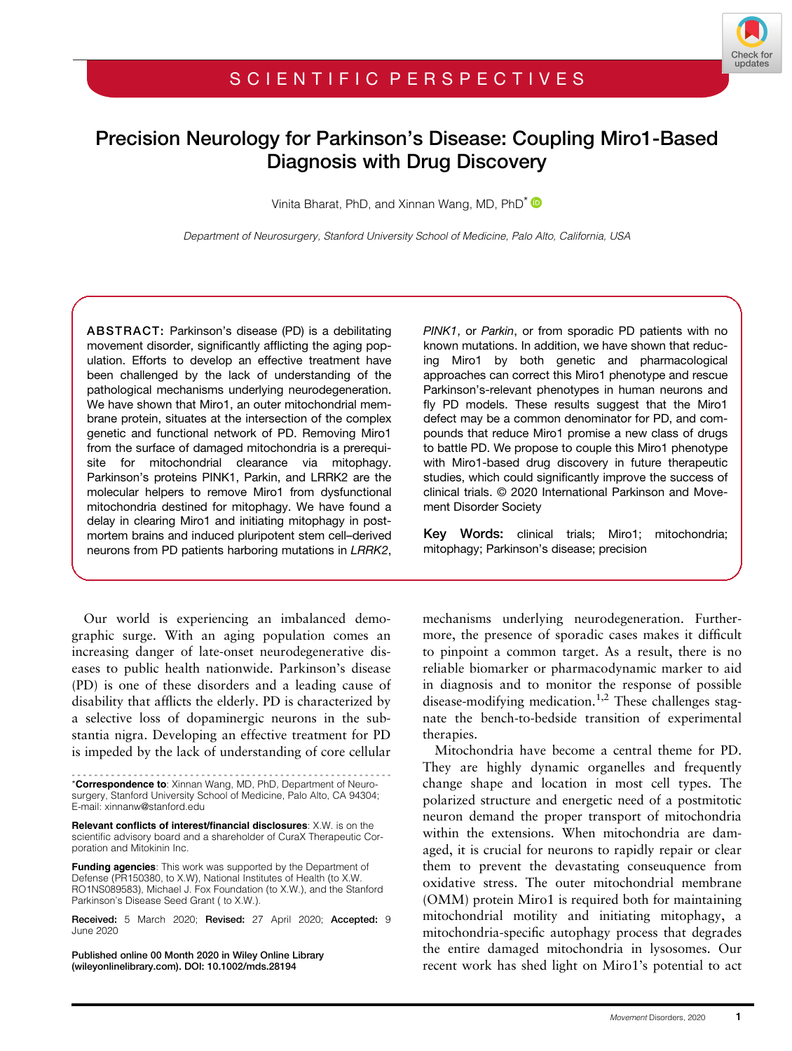# Precision Neurology for Parkinson's Disease: Coupling Miro1-Based Diagnosis with Drug Discovery

Vinita Bharat, PhD, and Xinnan Wang, MD, PhD<sup>\*</sup>

Department of Neurosurgery, Stanford University School of Medicine, Palo Alto, California, USA

ABSTRACT: Parkinson's disease (PD) is a debilitating movement disorder, significantly afflicting the aging population. Efforts to develop an effective treatment have been challenged by the lack of understanding of the pathological mechanisms underlying neurodegeneration. We have shown that Miro1, an outer mitochondrial membrane protein, situates at the intersection of the complex genetic and functional network of PD. Removing Miro1 from the surface of damaged mitochondria is a prerequisite for mitochondrial clearance via mitophagy. Parkinson's proteins PINK1, Parkin, and LRRK2 are the molecular helpers to remove Miro1 from dysfunctional mitochondria destined for mitophagy. We have found a delay in clearing Miro1 and initiating mitophagy in postmortem brains and induced pluripotent stem cell–derived neurons from PD patients harboring mutations in LRRK2,

Our world is experiencing an imbalanced demographic surge. With an aging population comes an increasing danger of late-onset neurodegenerative diseases to public health nationwide. Parkinson's disease (PD) is one of these disorders and a leading cause of disability that afflicts the elderly. PD is characterized by a selective loss of dopaminergic neurons in the substantia nigra. Developing an effective treatment for PD is impeded by the lack of understanding of core cellular

Relevant conflicts of interest/financial disclosures: X.W. is on the scientific advisory board and a shareholder of CuraX Therapeutic Corporation and Mitokinin Inc.

Funding agencies: This work was supported by the Department of Defense (PR150380, to X.W), National Institutes of Health (to X.W. RO1NS089583), Michael J. Fox Foundation (to X.W.), and the Stanford Parkinson's Disease Seed Grant ( to X.W.).

Received: 5 March 2020; Revised: 27 April 2020; Accepted: 9 June 2020

Published online 00 Month 2020 in Wiley Online Library (wileyonlinelibrary.com). DOI: 10.1002/mds.28194

PINK1, or Parkin, or from sporadic PD patients with no known mutations. In addition, we have shown that reducing Miro1 by both genetic and pharmacological approaches can correct this Miro1 phenotype and rescue Parkinson's-relevant phenotypes in human neurons and fly PD models. These results suggest that the Miro1 defect may be a common denominator for PD, and compounds that reduce Miro1 promise a new class of drugs to battle PD. We propose to couple this Miro1 phenotype with Miro1-based drug discovery in future therapeutic studies, which could significantly improve the success of clinical trials. © 2020 International Parkinson and Movement Disorder Society

Key Words: clinical trials; Miro1; mitochondria; mitophagy; Parkinson's disease; precision

mechanisms underlying neurodegeneration. Furthermore, the presence of sporadic cases makes it difficult to pinpoint a common target. As a result, there is no reliable biomarker or pharmacodynamic marker to aid in diagnosis and to monitor the response of possible disease-modifying medication.<sup>1,2</sup> These challenges stagnate the bench-to-bedside transition of experimental therapies.

Mitochondria have become a central theme for PD. They are highly dynamic organelles and frequently change shape and location in most cell types. The polarized structure and energetic need of a postmitotic neuron demand the proper transport of mitochondria within the extensions. When mitochondria are damaged, it is crucial for neurons to rapidly repair or clear them to prevent the devastating conseuquence from oxidative stress. The outer mitochondrial membrane (OMM) protein Miro1 is required both for maintaining mitochondrial motility and initiating mitophagy, a mitochondria-specific autophagy process that degrades the entire damaged mitochondria in lysosomes. Our recent work has shed light on Miro1's potential to act

<sup>---------------------------------------------------------</sup> \*Correspondence to: Xinnan Wang, MD, PhD, Department of Neurosurgery, Stanford University School of Medicine, Palo Alto, CA 94304; E-mail: [xinnanw@stanford.edu](mailto:xinnanw@stanford.edu)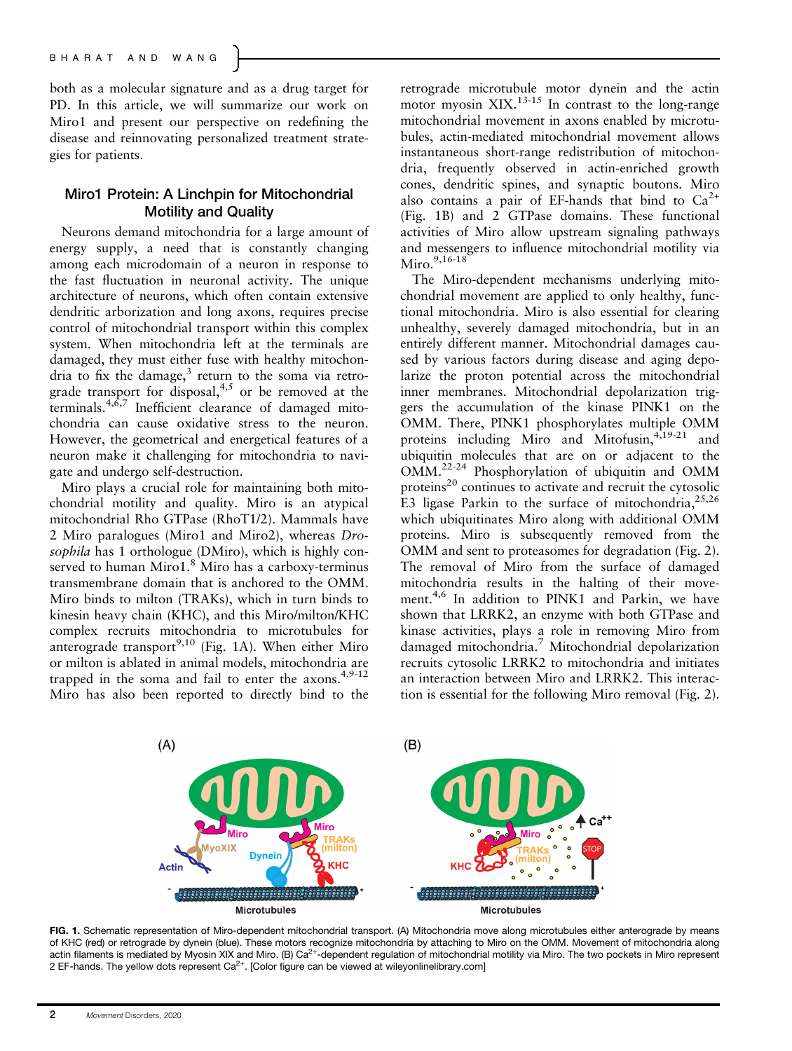both as a molecular signature and as a drug target for PD. In this article, we will summarize our work on Miro1 and present our perspective on redefining the disease and reinnovating personalized treatment strategies for patients.

## Miro1 Protein: A Linchpin for Mitochondrial Motility and Quality

Neurons demand mitochondria for a large amount of energy supply, a need that is constantly changing among each microdomain of a neuron in response to the fast fluctuation in neuronal activity. The unique architecture of neurons, which often contain extensive dendritic arborization and long axons, requires precise control of mitochondrial transport within this complex system. When mitochondria left at the terminals are damaged, they must either fuse with healthy mitochondria to fix the damage, $3$  return to the soma via retrograde transport for disposal,<sup>4,5</sup> or be removed at the terminals. $4,6,7$  Inefficient clearance of damaged mitochondria can cause oxidative stress to the neuron. However, the geometrical and energetical features of a neuron make it challenging for mitochondria to navigate and undergo self-destruction.

Miro plays a crucial role for maintaining both mitochondrial motility and quality. Miro is an atypical mitochondrial Rho GTPase (RhoT1/2). Mammals have 2 Miro paralogues (Miro1 and Miro2), whereas Drosophila has 1 orthologue (DMiro), which is highly conserved to human Miro1.<sup>8</sup> Miro has a carboxy-terminus transmembrane domain that is anchored to the OMM. Miro binds to milton (TRAKs), which in turn binds to kinesin heavy chain (KHC), and this Miro/milton/KHC complex recruits mitochondria to microtubules for anterograde transport<sup>9,10</sup> (Fig. 1A). When either Miro or milton is ablated in animal models, mitochondria are trapped in the soma and fail to enter the  $axons.<sup>4,9-12</sup>$ Miro has also been reported to directly bind to the retrograde microtubule motor dynein and the actin motor myosin  $XIX$ <sup>13-15</sup> In contrast to the long-range mitochondrial movement in axons enabled by microtubules, actin-mediated mitochondrial movement allows instantaneous short-range redistribution of mitochondria, frequently observed in actin-enriched growth cones, dendritic spines, and synaptic boutons. Miro also contains a pair of EF-hands that bind to  $Ca^{2+}$ (Fig. 1B) and 2 GTPase domains. These functional activities of Miro allow upstream signaling pathways and messengers to influence mitochondrial motility via Miro.  $9,16-18$ 

The Miro-dependent mechanisms underlying mitochondrial movement are applied to only healthy, functional mitochondria. Miro is also essential for clearing unhealthy, severely damaged mitochondria, but in an entirely different manner. Mitochondrial damages caused by various factors during disease and aging depolarize the proton potential across the mitochondrial inner membranes. Mitochondrial depolarization triggers the accumulation of the kinase PINK1 on the OMM. There, PINK1 phosphorylates multiple OMM proteins including Miro and Mitofusin, $4,19-21$  and ubiquitin molecules that are on or adjacent to the OMM.22-24 Phosphorylation of ubiquitin and OMM proteins $^{20}$  continues to activate and recruit the cytosolic E3 ligase Parkin to the surface of mitochondria,  $25,26$ which ubiquitinates Miro along with additional OMM proteins. Miro is subsequently removed from the OMM and sent to proteasomes for degradation (Fig. 2). The removal of Miro from the surface of damaged mitochondria results in the halting of their movement.<sup>4,6</sup> In addition to PINK1 and Parkin, we have shown that LRRK2, an enzyme with both GTPase and kinase activities, plays a role in removing Miro from damaged mitochondria.<sup>7</sup> Mitochondrial depolarization recruits cytosolic LRRK2 to mitochondria and initiates an interaction between Miro and LRRK2. This interaction is essential for the following Miro removal (Fig. 2).



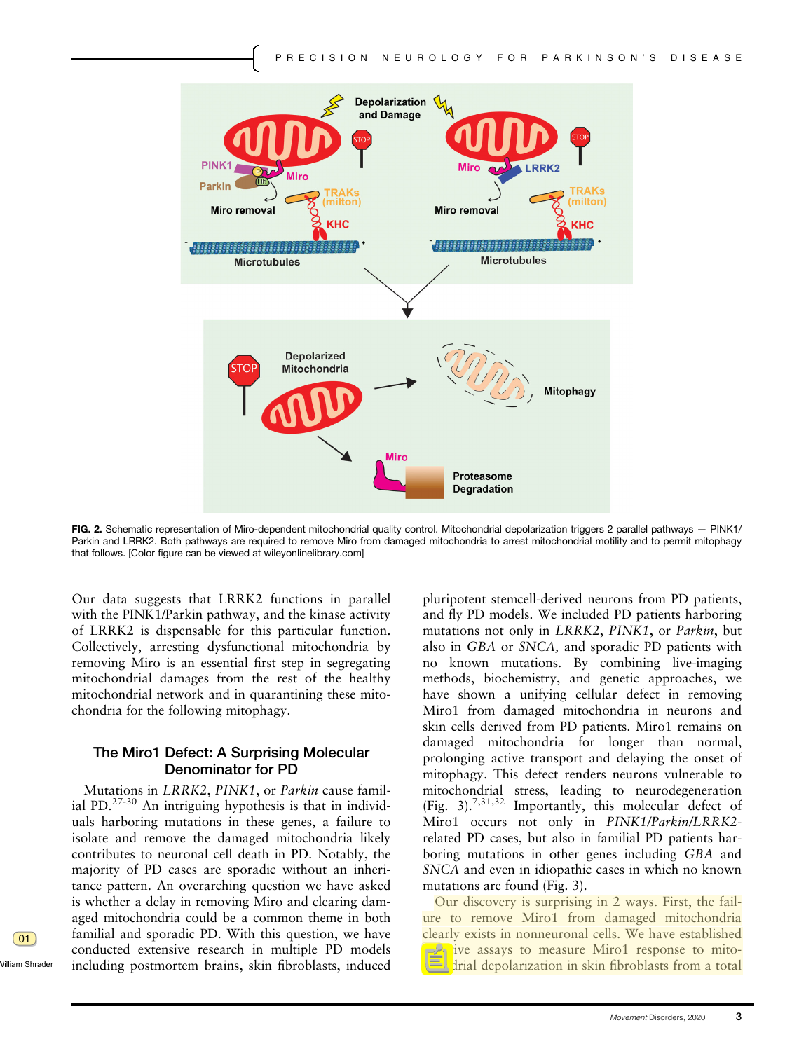

FIG. 2. Schematic representation of Miro-dependent mitochondrial quality control. Mitochondrial depolarization triggers 2 parallel pathways - PINK1/ Parkin and LRRK2. Both pathways are required to remove Miro from damaged mitochondria to arrest mitochondrial motility and to permit mitophagy that follows. [Color figure can be viewed at [wileyonlinelibrary.com\]](http://wileyonlinelibrary.com)

Our data suggests that LRRK2 functions in parallel with the PINK1/Parkin pathway, and the kinase activity of LRRK2 is dispensable for this particular function. Collectively, arresting dysfunctional mitochondria by removing Miro is an essential first step in segregating mitochondrial damages from the rest of the healthy mitochondrial network and in quarantining these mitochondria for the following mitophagy.

### The Miro1 Defect: A Surprising Molecular Denominator for PD

Mutations in LRRK2, PINK1, or Parkin cause familial PD. $^{27-30}$  An intriguing hypothesis is that in individuals harboring mutations in these genes, a failure to isolate and remove the damaged mitochondria likely contributes to neuronal cell death in PD. Notably, the majority of PD cases are sporadic without an inheritance pattern. An overarching question we have asked is whether a delay in removing Miro and clearing damaged mitochondria could be a common theme in both familial and sporadic PD. With this question, we have conducted extensive research in multiple PD models including postmortem brains, skin fibroblasts, induced pluripotent stemcell-derived neurons from PD patients, and fly PD models. We included PD patients harboring mutations not only in LRRK2, PINK1, or Parkin, but also in GBA or SNCA, and sporadic PD patients with no known mutations. By combining live-imaging methods, biochemistry, and genetic approaches, we have shown a unifying cellular defect in removing Miro1 from damaged mitochondria in neurons and skin cells derived from PD patients. Miro1 remains on damaged mitochondria for longer than normal, prolonging active transport and delaying the onset of mitophagy. This defect renders neurons vulnerable to mitochondrial stress, leading to neurodegeneration (Fig. 3).7,31,32 Importantly, this molecular defect of Miro1 occurs not only in PINK1/Parkin/LRRK2 related PD cases, but also in familial PD patients harboring mutations in other genes including GBA and SNCA and even in idiopathic cases in which no known mutations are found (Fig. 3).

Our discovery is surprising in 2 ways. First, the failure to remove Miro1 from damaged mitochondria clearly exists in nonneuronal cells. We have established sensitive assays to measure Miro1 response to mitochondrial depolarization in skin fibroblasts from a total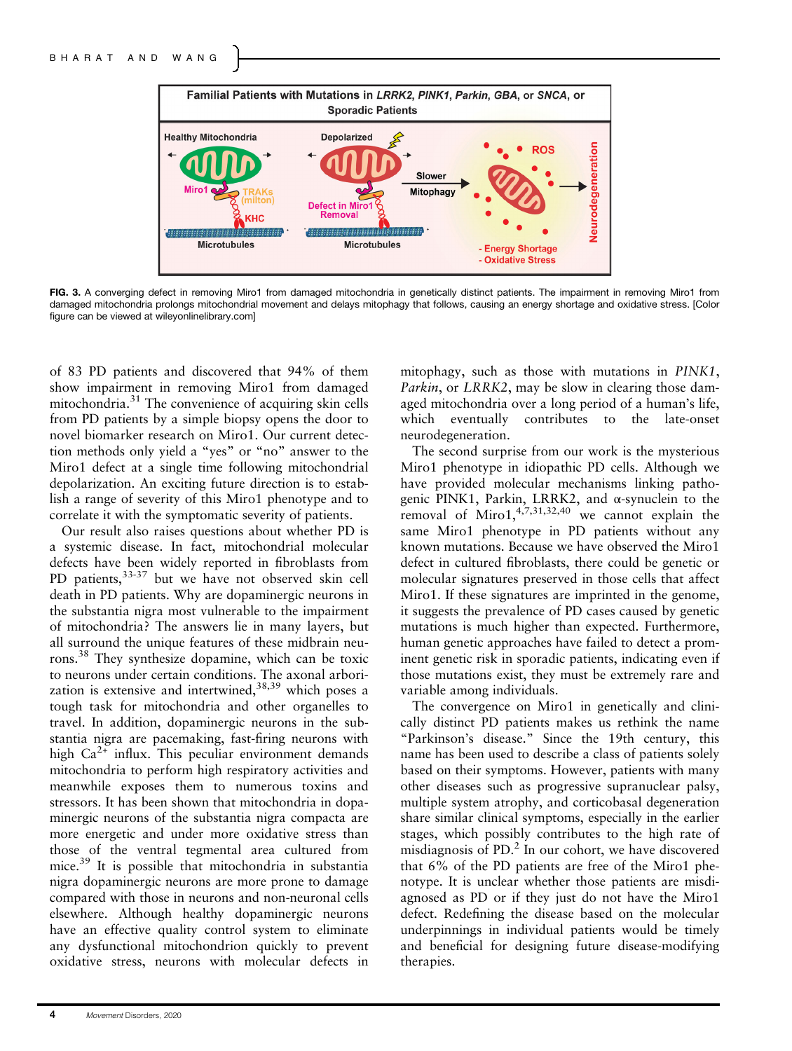

FIG. 3. A converging defect in removing Miro1 from damaged mitochondria in genetically distinct patients. The impairment in removing Miro1 from damaged mitochondria prolongs mitochondrial movement and delays mitophagy that follows, causing an energy shortage and oxidative stress. [Color figure can be viewed at [wileyonlinelibrary.com](http://wileyonlinelibrary.com)]

of 83 PD patients and discovered that 94% of them show impairment in removing Miro1 from damaged mitochondria. $31$  The convenience of acquiring skin cells from PD patients by a simple biopsy opens the door to novel biomarker research on Miro1. Our current detection methods only yield a "yes" or "no" answer to the Miro1 defect at a single time following mitochondrial depolarization. An exciting future direction is to establish a range of severity of this Miro1 phenotype and to correlate it with the symptomatic severity of patients.

Our result also raises questions about whether PD is a systemic disease. In fact, mitochondrial molecular defects have been widely reported in fibroblasts from PD patients, 33-37 but we have not observed skin cell death in PD patients. Why are dopaminergic neurons in the substantia nigra most vulnerable to the impairment of mitochondria? The answers lie in many layers, but all surround the unique features of these midbrain neurons.38 They synthesize dopamine, which can be toxic to neurons under certain conditions. The axonal arborization is extensive and intertwined,  $38,39$  which poses a tough task for mitochondria and other organelles to travel. In addition, dopaminergic neurons in the substantia nigra are pacemaking, fast-firing neurons with high  $Ca^{2+}$  influx. This peculiar environment demands mitochondria to perform high respiratory activities and meanwhile exposes them to numerous toxins and stressors. It has been shown that mitochondria in dopaminergic neurons of the substantia nigra compacta are more energetic and under more oxidative stress than those of the ventral tegmental area cultured from mice.<sup>39</sup> It is possible that mitochondria in substantia nigra dopaminergic neurons are more prone to damage compared with those in neurons and non-neuronal cells elsewhere. Although healthy dopaminergic neurons have an effective quality control system to eliminate any dysfunctional mitochondrion quickly to prevent oxidative stress, neurons with molecular defects in mitophagy, such as those with mutations in PINK1, Parkin, or LRRK2, may be slow in clearing those damaged mitochondria over a long period of a human's life, which eventually contributes to the late-onset neurodegeneration.

The second surprise from our work is the mysterious Miro1 phenotype in idiopathic PD cells. Although we have provided molecular mechanisms linking pathogenic PINK1, Parkin, LRRK2, and α-synuclein to the removal of Miro $1, \frac{4,7,31,32,40}{9}$  we cannot explain the same Miro1 phenotype in PD patients without any known mutations. Because we have observed the Miro1 defect in cultured fibroblasts, there could be genetic or molecular signatures preserved in those cells that affect Miro1. If these signatures are imprinted in the genome, it suggests the prevalence of PD cases caused by genetic mutations is much higher than expected. Furthermore, human genetic approaches have failed to detect a prominent genetic risk in sporadic patients, indicating even if those mutations exist, they must be extremely rare and variable among individuals.

The convergence on Miro1 in genetically and clinically distinct PD patients makes us rethink the name "Parkinson's disease." Since the 19th century, this name has been used to describe a class of patients solely based on their symptoms. However, patients with many other diseases such as progressive supranuclear palsy, multiple system atrophy, and corticobasal degeneration share similar clinical symptoms, especially in the earlier stages, which possibly contributes to the high rate of misdiagnosis of PD.<sup>2</sup> In our cohort, we have discovered that 6% of the PD patients are free of the Miro1 phenotype. It is unclear whether those patients are misdiagnosed as PD or if they just do not have the Miro1 defect. Redefining the disease based on the molecular underpinnings in individual patients would be timely and beneficial for designing future disease-modifying therapies.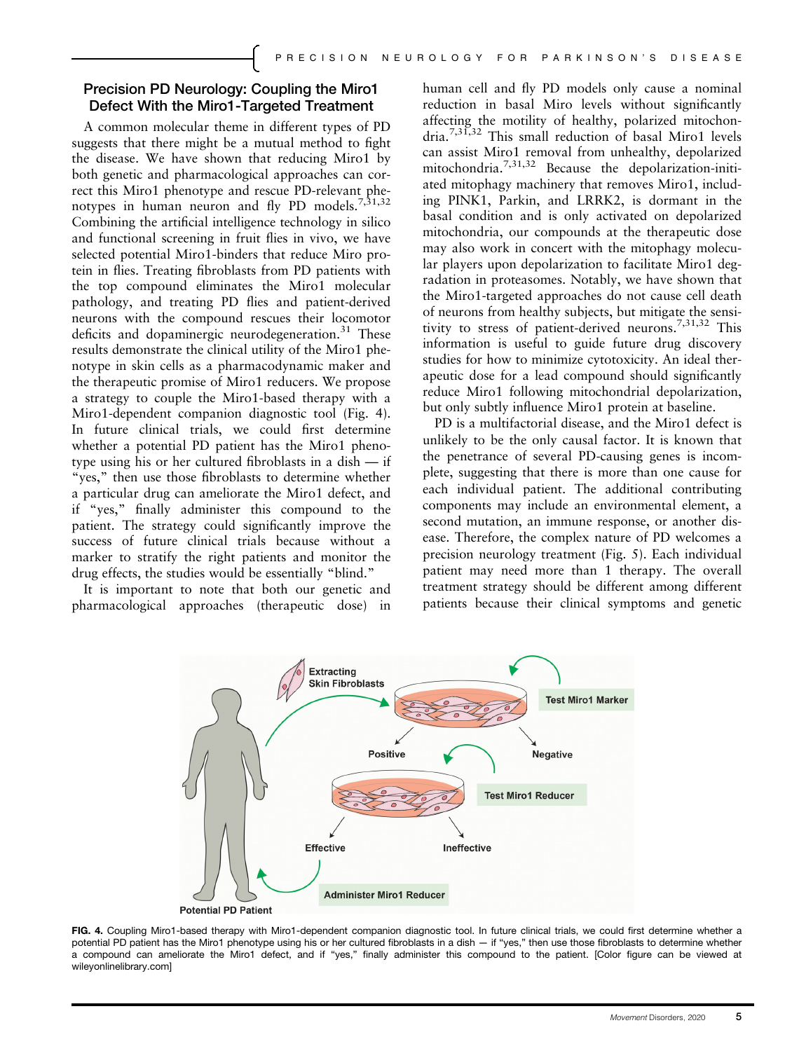## Precision PD Neurology: Coupling the Miro1 Defect With the Miro1-Targeted Treatment

A common molecular theme in different types of PD suggests that there might be a mutual method to fight the disease. We have shown that reducing Miro1 by both genetic and pharmacological approaches can correct this Miro1 phenotype and rescue PD-relevant phenotypes in human neuron and fly PD models.<sup>7,31,32</sup> Combining the artificial intelligence technology in silico and functional screening in fruit flies in vivo, we have selected potential Miro1-binders that reduce Miro protein in flies. Treating fibroblasts from PD patients with the top compound eliminates the Miro1 molecular pathology, and treating PD flies and patient-derived neurons with the compound rescues their locomotor deficits and dopaminergic neurodegeneration.<sup>31</sup> These results demonstrate the clinical utility of the Miro1 phenotype in skin cells as a pharmacodynamic maker and the therapeutic promise of Miro1 reducers. We propose a strategy to couple the Miro1-based therapy with a Miro1-dependent companion diagnostic tool (Fig. 4). In future clinical trials, we could first determine whether a potential PD patient has the Miro1 phenotype using his or her cultured fibroblasts in a dish — if "yes," then use those fibroblasts to determine whether a particular drug can ameliorate the Miro1 defect, and if "yes," finally administer this compound to the patient. The strategy could significantly improve the success of future clinical trials because without a marker to stratify the right patients and monitor the drug effects, the studies would be essentially "blind."

It is important to note that both our genetic and pharmacological approaches (therapeutic dose) in human cell and fly PD models only cause a nominal reduction in basal Miro levels without significantly affecting the motility of healthy, polarized mitochondria.7,31,32 This small reduction of basal Miro1 levels can assist Miro1 removal from unhealthy, depolarized mitochondria.7,31,32 Because the depolarization-initiated mitophagy machinery that removes Miro1, including PINK1, Parkin, and LRRK2, is dormant in the basal condition and is only activated on depolarized mitochondria, our compounds at the therapeutic dose may also work in concert with the mitophagy molecular players upon depolarization to facilitate Miro1 degradation in proteasomes. Notably, we have shown that the Miro1-targeted approaches do not cause cell death of neurons from healthy subjects, but mitigate the sensitivity to stress of patient-derived neurons.7,31,32 This information is useful to guide future drug discovery studies for how to minimize cytotoxicity. An ideal therapeutic dose for a lead compound should significantly reduce Miro1 following mitochondrial depolarization, but only subtly influence Miro1 protein at baseline.

PD is a multifactorial disease, and the Miro1 defect is unlikely to be the only causal factor. It is known that the penetrance of several PD-causing genes is incomplete, suggesting that there is more than one cause for each individual patient. The additional contributing components may include an environmental element, a second mutation, an immune response, or another disease. Therefore, the complex nature of PD welcomes a precision neurology treatment (Fig. 5). Each individual patient may need more than 1 therapy. The overall treatment strategy should be different among different patients because their clinical symptoms and genetic



FIG. 4. Coupling Miro1-based therapy with Miro1-dependent companion diagnostic tool. In future clinical trials, we could first determine whether a potential PD patient has the Miro1 phenotype using his or her cultured fibroblasts in a dish — if "yes," then use those fibroblasts to determine whether a compound can ameliorate the Miro1 defect, and if "yes," finally administer this compound to the patient. [Color figure can be viewed at [wileyonlinelibrary.com](http://wileyonlinelibrary.com)]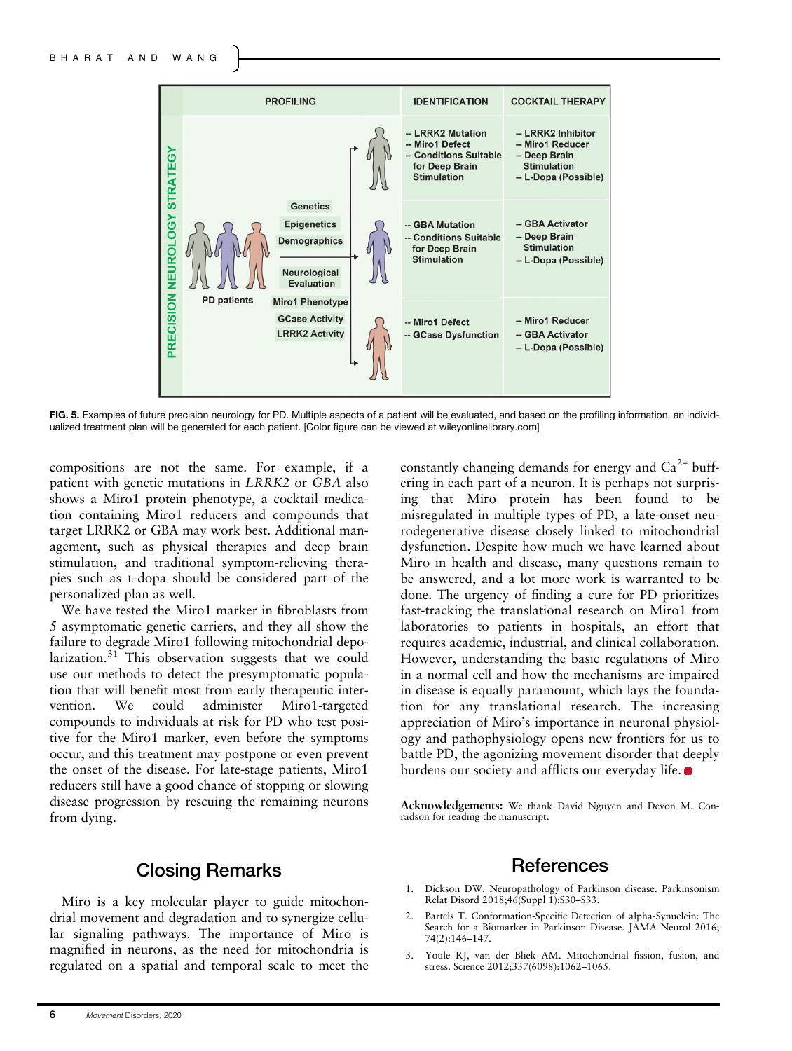

FIG. 5. Examples of future precision neurology for PD. Multiple aspects of a patient will be evaluated, and based on the profiling information, an individualized treatment plan will be generated for each patient. [Color figure can be viewed at [wileyonlinelibrary.com\]](http://wileyonlinelibrary.com)

compositions are not the same. For example, if a patient with genetic mutations in LRRK2 or GBA also shows a Miro1 protein phenotype, a cocktail medication containing Miro1 reducers and compounds that target LRRK2 or GBA may work best. Additional management, such as physical therapies and deep brain stimulation, and traditional symptom-relieving therapies such as L-dopa should be considered part of the personalized plan as well.

We have tested the Miro1 marker in fibroblasts from 5 asymptomatic genetic carriers, and they all show the failure to degrade Miro1 following mitochondrial depolarization. $31$  This observation suggests that we could use our methods to detect the presymptomatic population that will benefit most from early therapeutic intervention. We could administer Miro1-targeted compounds to individuals at risk for PD who test positive for the Miro1 marker, even before the symptoms occur, and this treatment may postpone or even prevent the onset of the disease. For late-stage patients, Miro1 reducers still have a good chance of stopping or slowing disease progression by rescuing the remaining neurons from dying.

## Closing Remarks

Miro is a key molecular player to guide mitochondrial movement and degradation and to synergize cellular signaling pathways. The importance of Miro is magnified in neurons, as the need for mitochondria is regulated on a spatial and temporal scale to meet the constantly changing demands for energy and  $Ca^{2+}$  buffering in each part of a neuron. It is perhaps not surprising that Miro protein has been found to be misregulated in multiple types of PD, a late-onset neurodegenerative disease closely linked to mitochondrial dysfunction. Despite how much we have learned about Miro in health and disease, many questions remain to be answered, and a lot more work is warranted to be done. The urgency of finding a cure for PD prioritizes fast-tracking the translational research on Miro1 from laboratories to patients in hospitals, an effort that requires academic, industrial, and clinical collaboration. However, understanding the basic regulations of Miro in a normal cell and how the mechanisms are impaired in disease is equally paramount, which lays the foundation for any translational research. The increasing appreciation of Miro's importance in neuronal physiology and pathophysiology opens new frontiers for us to battle PD, the agonizing movement disorder that deeply burdens our society and afflicts our everyday life.  $\bullet$ 

Acknowledgements: We thank David Nguyen and Devon M. Conradson for reading the manuscript.

## References

- 1. Dickson DW. Neuropathology of Parkinson disease. Parkinsonism Relat Disord 2018;46(Suppl 1):S30-S33.
- 2. Bartels T. Conformation-Specific Detection of alpha-Synuclein: The Search for a Biomarker in Parkinson Disease. JAMA Neurol 2016; 74(2):146–147.
- 3. Youle RJ, van der Bliek AM. Mitochondrial fission, fusion, and stress. Science 2012;337(6098):1062–1065.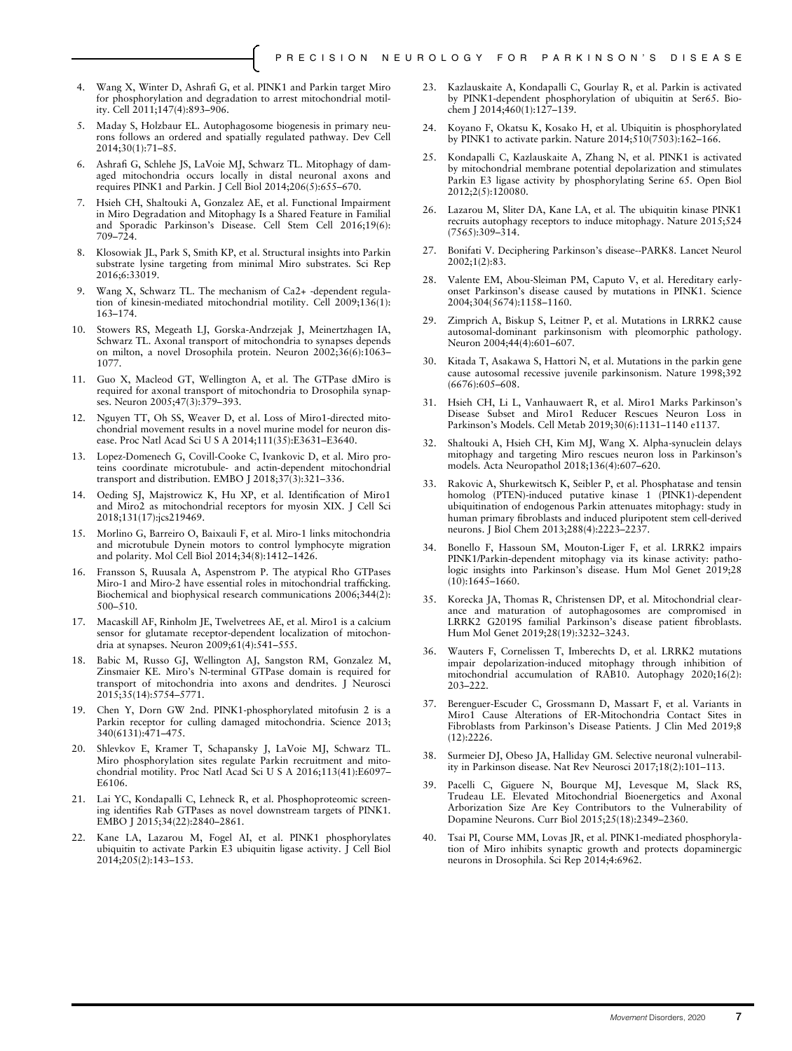- 4. Wang X, Winter D, Ashrafi G, et al. PINK1 and Parkin target Miro for phosphorylation and degradation to arrest mitochondrial motility. Cell 2011;147(4):893–906.
- 5. Maday S, Holzbaur EL. Autophagosome biogenesis in primary neurons follows an ordered and spatially regulated pathway. Dev Cell 2014;30(1):71–85.
- 6. Ashrafi G, Schlehe JS, LaVoie MJ, Schwarz TL. Mitophagy of damaged mitochondria occurs locally in distal neuronal axons and requires PINK1 and Parkin. J Cell Biol 2014;206(5):655–670.
- Hsieh CH, Shaltouki A, Gonzalez AE, et al. Functional Impairment in Miro Degradation and Mitophagy Is a Shared Feature in Familial and Sporadic Parkinson's Disease. Cell Stem Cell 2016;19(6): 709–724.
- 8. Klosowiak JL, Park S, Smith KP, et al. Structural insights into Parkin substrate lysine targeting from minimal Miro substrates. Sci Rep 2016;6:33019.
- 9. Wang X, Schwarz TL. The mechanism of Ca2+ -dependent regulation of kinesin-mediated mitochondrial motility. Cell 2009;136(1): 163–174.
- 10. Stowers RS, Megeath LJ, Gorska-Andrzejak J, Meinertzhagen IA, Schwarz TL. Axonal transport of mitochondria to synapses depends on milton, a novel Drosophila protein. Neuron 2002;36(6):1063– 1077.
- 11. Guo X, Macleod GT, Wellington A, et al. The GTPase dMiro is required for axonal transport of mitochondria to Drosophila synapses. Neuron 2005;47(3):379–393.
- 12. Nguyen TT, Oh SS, Weaver D, et al. Loss of Miro1-directed mitochondrial movement results in a novel murine model for neuron disease. Proc Natl Acad Sci U S A 2014;111(35):E3631–E3640.
- 13. Lopez-Domenech G, Covill-Cooke C, Ivankovic D, et al. Miro proteins coordinate microtubule- and actin-dependent mitochondrial transport and distribution. EMBO J 2018;37(3):321–336.
- 14. Oeding SJ, Majstrowicz K, Hu XP, et al. Identification of Miro1 and Miro2 as mitochondrial receptors for myosin XIX. J Cell Sci 2018;131(17):jcs219469.
- 15. Morlino G, Barreiro O, Baixauli F, et al. Miro-1 links mitochondria and microtubule Dynein motors to control lymphocyte migration and polarity. Mol Cell Biol 2014;34(8):1412–1426.
- 16. Fransson S, Ruusala A, Aspenstrom P. The atypical Rho GTPases Miro-1 and Miro-2 have essential roles in mitochondrial trafficking. Biochemical and biophysical research communications 2006;344(2): 500–510.
- 17. Macaskill AF, Rinholm JE, Twelvetrees AE, et al. Miro1 is a calcium sensor for glutamate receptor-dependent localization of mitochondria at synapses. Neuron 2009;61(4):541–555.
- 18. Babic M, Russo GJ, Wellington AJ, Sangston RM, Gonzalez M, Zinsmaier KE. Miro's N-terminal GTPase domain is required for transport of mitochondria into axons and dendrites. J Neurosci 2015;35(14):5754–5771.
- 19. Chen Y, Dorn GW 2nd. PINK1-phosphorylated mitofusin 2 is a Parkin receptor for culling damaged mitochondria. Science 2013; 340(6131):471–475.
- 20. Shlevkov E, Kramer T, Schapansky J, LaVoie MJ, Schwarz TL. Miro phosphorylation sites regulate Parkin recruitment and mitochondrial motility. Proc Natl Acad Sci U S A 2016;113(41):E6097– E6106.
- 21. Lai YC, Kondapalli C, Lehneck R, et al. Phosphoproteomic screening identifies Rab GTPases as novel downstream targets of PINK1. EMBO J 2015;34(22):2840–2861.
- 22. Kane LA, Lazarou M, Fogel AI, et al. PINK1 phosphorylates ubiquitin to activate Parkin E3 ubiquitin ligase activity. J Cell Biol 2014;205(2):143–153.
- 23. Kazlauskaite A, Kondapalli C, Gourlay R, et al. Parkin is activated by PINK1-dependent phosphorylation of ubiquitin at Ser65. Biochem J 2014;460(1):127–139.
- 24. Koyano F, Okatsu K, Kosako H, et al. Ubiquitin is phosphorylated by PINK1 to activate parkin. Nature 2014;510(7503):162–166.
- 25. Kondapalli C, Kazlauskaite A, Zhang N, et al. PINK1 is activated by mitochondrial membrane potential depolarization and stimulates Parkin E3 ligase activity by phosphorylating Serine 65. Open Biol 2012;2(5):120080.
- 26. Lazarou M, Sliter DA, Kane LA, et al. The ubiquitin kinase PINK1 recruits autophagy receptors to induce mitophagy. Nature 2015;524 (7565):309–314.
- 27. Bonifati V. Deciphering Parkinson's disease--PARK8. Lancet Neurol 2002;1(2):83.
- 28. Valente EM, Abou-Sleiman PM, Caputo V, et al. Hereditary earlyonset Parkinson's disease caused by mutations in PINK1. Science 2004;304(5674):1158–1160.
- 29. Zimprich A, Biskup S, Leitner P, et al. Mutations in LRRK2 cause autosomal-dominant parkinsonism with pleomorphic pathology. Neuron 2004;44(4):601–607.
- 30. Kitada T, Asakawa S, Hattori N, et al. Mutations in the parkin gene cause autosomal recessive juvenile parkinsonism. Nature 1998;392 (6676):605–608.
- 31. Hsieh CH, Li L, Vanhauwaert R, et al. Miro1 Marks Parkinson's Disease Subset and Miro1 Reducer Rescues Neuron Loss in Parkinson's Models. Cell Metab 2019;30(6):1131–1140 e1137.
- 32. Shaltouki A, Hsieh CH, Kim MJ, Wang X. Alpha-synuclein delays mitophagy and targeting Miro rescues neuron loss in Parkinson's models. Acta Neuropathol 2018;136(4):607–620.
- 33. Rakovic A, Shurkewitsch K, Seibler P, et al. Phosphatase and tensin homolog (PTEN)-induced putative kinase 1 (PINK1)-dependent ubiquitination of endogenous Parkin attenuates mitophagy: study in human primary fibroblasts and induced pluripotent stem cell-derived neurons. J Biol Chem 2013;288(4):2223–2237.
- 34. Bonello F, Hassoun SM, Mouton-Liger F, et al. LRRK2 impairs PINK1/Parkin-dependent mitophagy via its kinase activity: pathologic insights into Parkinson's disease. Hum Mol Genet 2019;28  $(10):1645-1660.$
- 35. Korecka JA, Thomas R, Christensen DP, et al. Mitochondrial clearance and maturation of autophagosomes are compromised in LRRK2 G2019S familial Parkinson's disease patient fibroblasts. Hum Mol Genet 2019;28(19):3232–3243.
- 36. Wauters F, Cornelissen T, Imberechts D, et al. LRRK2 mutations impair depolarization-induced mitophagy through inhibition of mitochondrial accumulation of RAB10. Autophagy 2020;16(2): 203–222.
- 37. Berenguer-Escuder C, Grossmann D, Massart F, et al. Variants in Miro1 Cause Alterations of ER-Mitochondria Contact Sites in Fibroblasts from Parkinson's Disease Patients. J Clin Med 2019;8 (12):2226.
- 38. Surmeier DJ, Obeso JA, Halliday GM. Selective neuronal vulnerability in Parkinson disease. Nat Rev Neurosci 2017;18(2):101–113.
- 39. Pacelli C, Giguere N, Bourque MJ, Levesque M, Slack RS, Trudeau LE. Elevated Mitochondrial Bioenergetics and Axonal Arborization Size Are Key Contributors to the Vulnerability of Dopamine Neurons. Curr Biol 2015;25(18):2349–2360.
- 40. Tsai PI, Course MM, Lovas JR, et al. PINK1-mediated phosphorylation of Miro inhibits synaptic growth and protects dopaminergic neurons in Drosophila. Sci Rep 2014;4:6962.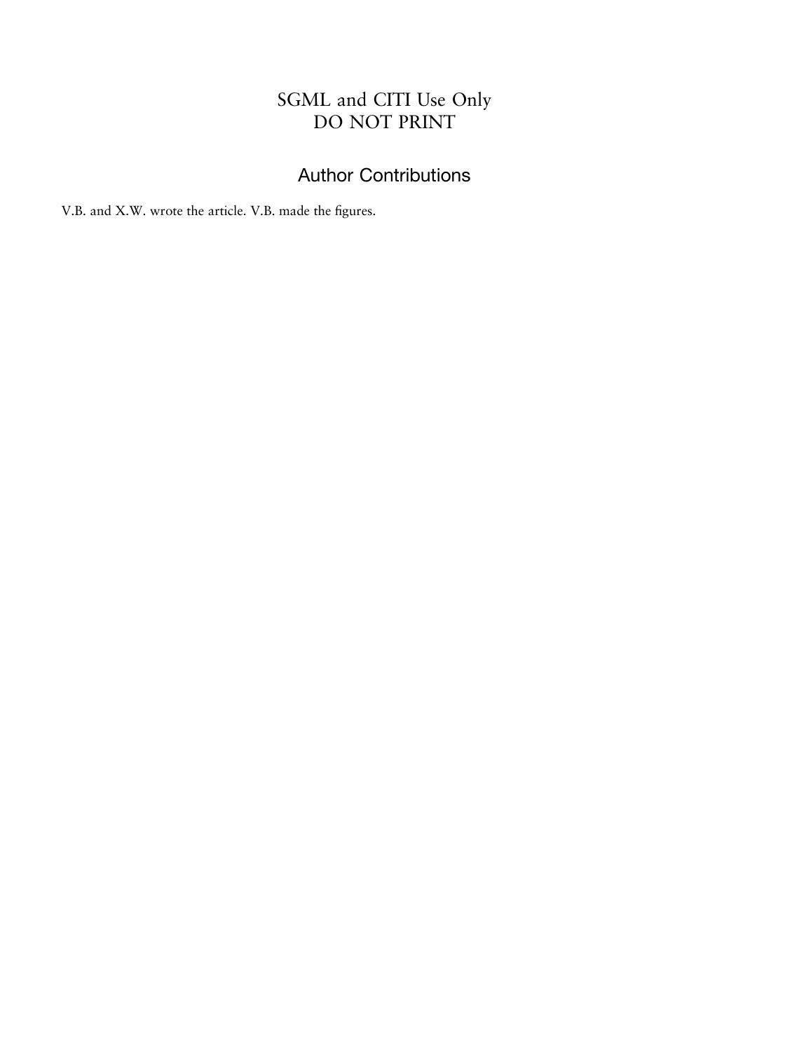## SGML and CITI Use Only DO NOT PRINT

# Author Contributions

V.B. and X.W. wrote the article. V.B. made the figures.